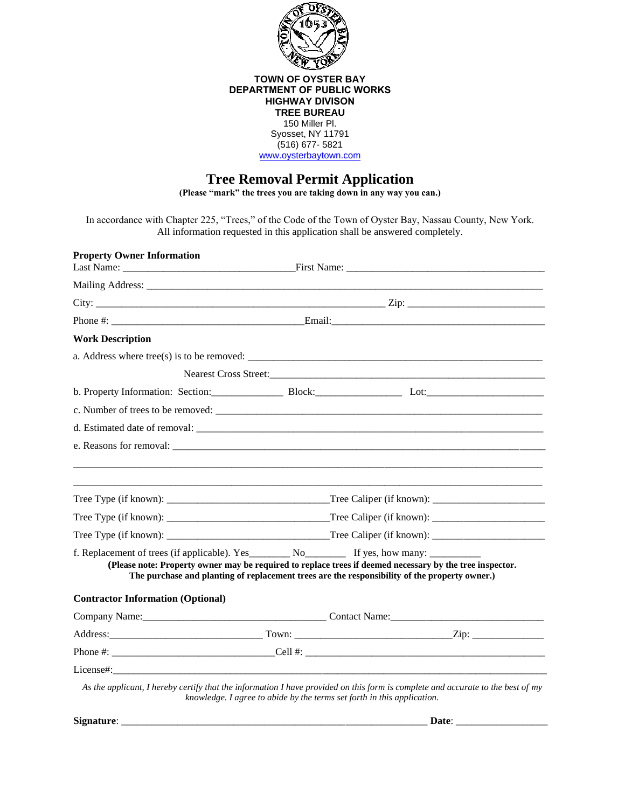

### **TOWN OF OYSTER BAY DEPARTMENT OF PUBLIC WORKS HIGHWAY DIVISON TREE BUREAU** 150 Miller Pl. Syosset, NY 11791 (516) 677- 5821

[www.oysterbaytown.com](http://www.oysterbaytown.com/)

# **Tree Removal Permit Application**

**(Please "mark" the trees you are taking down in any way you can.)**

In accordance with Chapter 225, "Trees," of the Code of the Town of Oyster Bay, Nassau County, New York. All information requested in this application shall be answered completely.

| <b>Property Owner Information</b>        |                                                                                                                                                                                                                                                                                                                                                                                            |  |
|------------------------------------------|--------------------------------------------------------------------------------------------------------------------------------------------------------------------------------------------------------------------------------------------------------------------------------------------------------------------------------------------------------------------------------------------|--|
|                                          |                                                                                                                                                                                                                                                                                                                                                                                            |  |
|                                          |                                                                                                                                                                                                                                                                                                                                                                                            |  |
|                                          |                                                                                                                                                                                                                                                                                                                                                                                            |  |
| <b>Work Description</b>                  |                                                                                                                                                                                                                                                                                                                                                                                            |  |
|                                          | a. Address where tree(s) is to be removed: $\frac{1}{\sqrt{1-\frac{1}{\sqrt{1-\frac{1}{\sqrt{1-\frac{1}{\sqrt{1-\frac{1}{\sqrt{1-\frac{1}{\sqrt{1-\frac{1}{\sqrt{1-\frac{1}{\sqrt{1-\frac{1}{\sqrt{1-\frac{1}{\sqrt{1-\frac{1}{\sqrt{1-\frac{1}{\sqrt{1-\frac{1}{\sqrt{1-\frac{1}{\sqrt{1-\frac{1}{\sqrt{1-\frac{1}{\sqrt{1-\frac{1}{\sqrt{1-\frac{1}{\sqrt{1-\frac{1}{\sqrt{1-\frac{1}{\$ |  |
|                                          |                                                                                                                                                                                                                                                                                                                                                                                            |  |
|                                          |                                                                                                                                                                                                                                                                                                                                                                                            |  |
|                                          |                                                                                                                                                                                                                                                                                                                                                                                            |  |
|                                          | d. Estimated date of removal:                                                                                                                                                                                                                                                                                                                                                              |  |
|                                          |                                                                                                                                                                                                                                                                                                                                                                                            |  |
|                                          |                                                                                                                                                                                                                                                                                                                                                                                            |  |
|                                          |                                                                                                                                                                                                                                                                                                                                                                                            |  |
|                                          | (Please note: Property owner may be required to replace trees if deemed necessary by the tree inspector.<br>The purchase and planting of replacement trees are the responsibility of the property owner.)                                                                                                                                                                                  |  |
| <b>Contractor Information (Optional)</b> |                                                                                                                                                                                                                                                                                                                                                                                            |  |
|                                          |                                                                                                                                                                                                                                                                                                                                                                                            |  |
|                                          |                                                                                                                                                                                                                                                                                                                                                                                            |  |
|                                          |                                                                                                                                                                                                                                                                                                                                                                                            |  |
|                                          |                                                                                                                                                                                                                                                                                                                                                                                            |  |

**Signature**: \_\_\_\_\_\_\_\_\_\_\_\_\_\_\_\_\_\_\_\_\_\_\_\_\_\_\_\_\_\_\_\_\_\_\_\_\_\_\_\_\_\_\_\_\_\_\_\_\_\_\_\_\_\_\_\_\_\_\_\_ **Date**: \_\_\_\_\_\_\_\_\_\_\_\_\_\_\_\_\_\_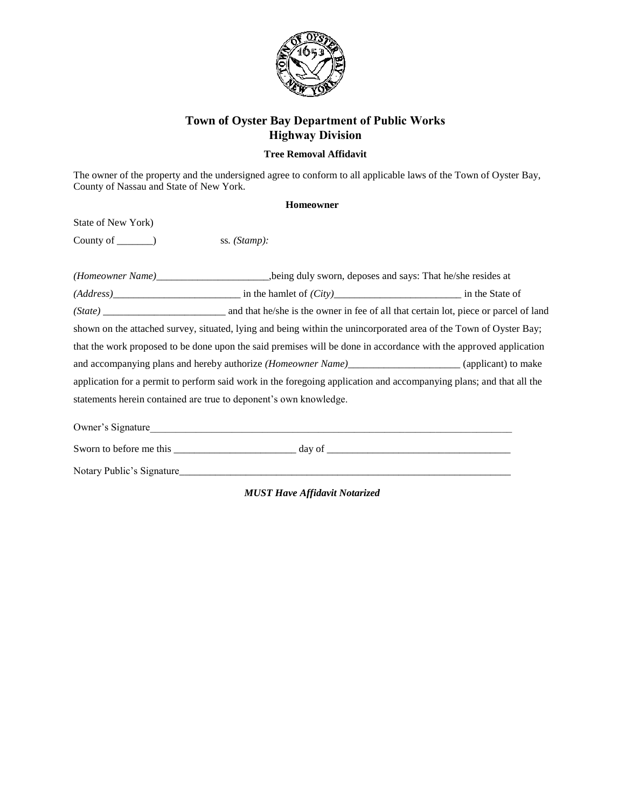

# **Town of Oyster Bay Department of Public Works Highway Division**

## **Tree Removal Affidavit**

The owner of the property and the undersigned agree to conform to all applicable laws of the Town of Oyster Bay, County of Nassau and State of New York.

#### **Homeowner**

State of New York)

County of \_\_\_\_\_\_\_) ss. (Stamp):

| (Address)                                                                                                           |                                                                                                          | in the State of |  |
|---------------------------------------------------------------------------------------------------------------------|----------------------------------------------------------------------------------------------------------|-----------------|--|
| (State)                                                                                                             | and that he/she is the owner in fee of all that certain lot, piece or parcel of land                     |                 |  |
| shown on the attached survey, situated, lying and being within the unincorporated area of the Town of Oyster Bay;   |                                                                                                          |                 |  |
| that the work proposed to be done upon the said premises will be done in accordance with the approved application   |                                                                                                          |                 |  |
|                                                                                                                     | and accompanying plans and hereby authorize (Homeowner Name)_________________________(applicant) to make |                 |  |
| application for a permit to perform said work in the foregoing application and accompanying plans; and that all the |                                                                                                          |                 |  |
|                                                                                                                     | statements herein contained are true to deponent's own knowledge.                                        |                 |  |
| Owner's Signature                                                                                                   |                                                                                                          |                 |  |

Sworn to before me this  $\frac{1}{\sqrt{1-\frac{1}{2}}\sqrt{1-\frac{1}{2}}\sqrt{1-\frac{1}{2}}\sqrt{1-\frac{1}{2}}\sqrt{1-\frac{1}{2}}\sqrt{1-\frac{1}{2}}\sqrt{1-\frac{1}{2}}\sqrt{1-\frac{1}{2}}\sqrt{1-\frac{1}{2}}\sqrt{1-\frac{1}{2}}\sqrt{1-\frac{1}{2}}\sqrt{1-\frac{1}{2}}\sqrt{1-\frac{1}{2}}\sqrt{1-\frac{1}{2}}\sqrt{1-\frac{1}{2}}\sqrt{1-\frac{1}{2}}\sqrt{1-\frac{1}{2}}\sqrt{1$ Notary Public's Signature\_\_\_\_\_\_\_\_\_\_\_\_\_\_\_\_\_\_\_\_\_\_\_\_\_\_\_\_\_\_\_\_\_\_\_\_\_\_\_\_\_\_\_\_\_\_\_\_\_\_\_\_\_\_\_\_\_\_\_\_\_\_\_\_\_

*MUST Have Affidavit Notarized*